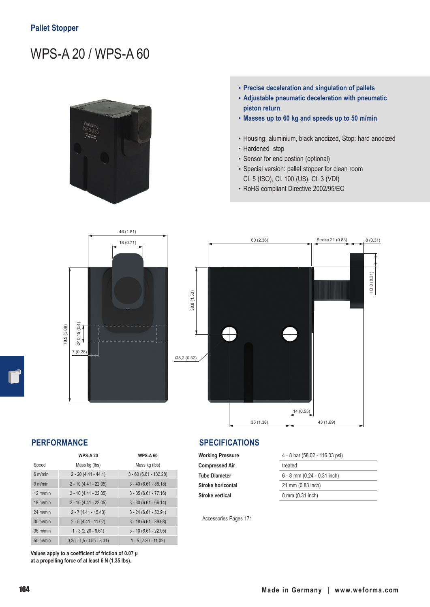# WPS-A 20 / WPS-A 60



- **▪ Precise deceleration and singulation of pallets**
- **▪ Adjustable pneumatic deceleration with pneumatic piston return**
- **▪ Masses up to 60 kg and speeds up to 50 m/min**
- Housing: aluminium, black anodized, Stop: hard anodized
- Hardened stop
- Sensor for end postion (optional)
- Special version: pallet stopper for clean room Cl. 5 (ISO), Cl. 100 (US), Cl. 3 (VDI)
- RoHS compliant Directive 2002/95/EC





|                    | <b>WPS-A 20</b>            | <b>WPS-A 60</b>          |
|--------------------|----------------------------|--------------------------|
| Speed              | Mass kg (lbs)              | Mass kg (lbs)            |
| 6 m/min            | $2 - 20(4.41 - 44.1)$      | $3 - 60 (6.61 - 132.28)$ |
| 9 m/min            | $2 - 10(4.41 - 22.05)$     | $3 - 40 (6.61 - 88.18)$  |
| $12 \text{ m/min}$ | $2 - 10(4.41 - 22.05)$     | $3 - 35 (6.61 - 77.16)$  |
| $18 \text{ m/min}$ | $2 - 10(4.41 - 22.05)$     | $3 - 30 (6.61 - 66.14)$  |
| $24$ m/min         | $2 - 7(4.41 - 15.43)$      | $3 - 24 (6.61 - 52.91)$  |
| $30 \text{ m/min}$ | $2 - 5(4.41 - 11.02)$      | $3 - 18(6.61 - 39.68)$   |
| $36$ m/min         | $1 - 3(2.20 - 6.61)$       | $3 - 10 (6.61 - 22.05)$  |
| $50$ m/min         | $0.25 - 1.5 (0.55 - 3.31)$ | $1 - 5(2.20 - 11.02)$    |

**Values apply to a coefficient of friction of 0.07 μ at a propelling force of at least 6 N (1.35 lbs).**

Accessories Pages 171

# **PERFORMANCE SPECIFICATIONS**

**Compressed Air** treated **Stroke horizontal** 21 mm (0.83 inch) **Stroke vertical** 8 mm (0.31 inch)

**Working Pressure** 4 - 8 bar (58.02 - 116.03 psi) **Tube Diameter** 6 - 8 mm (0.24 - 0.31 inch)